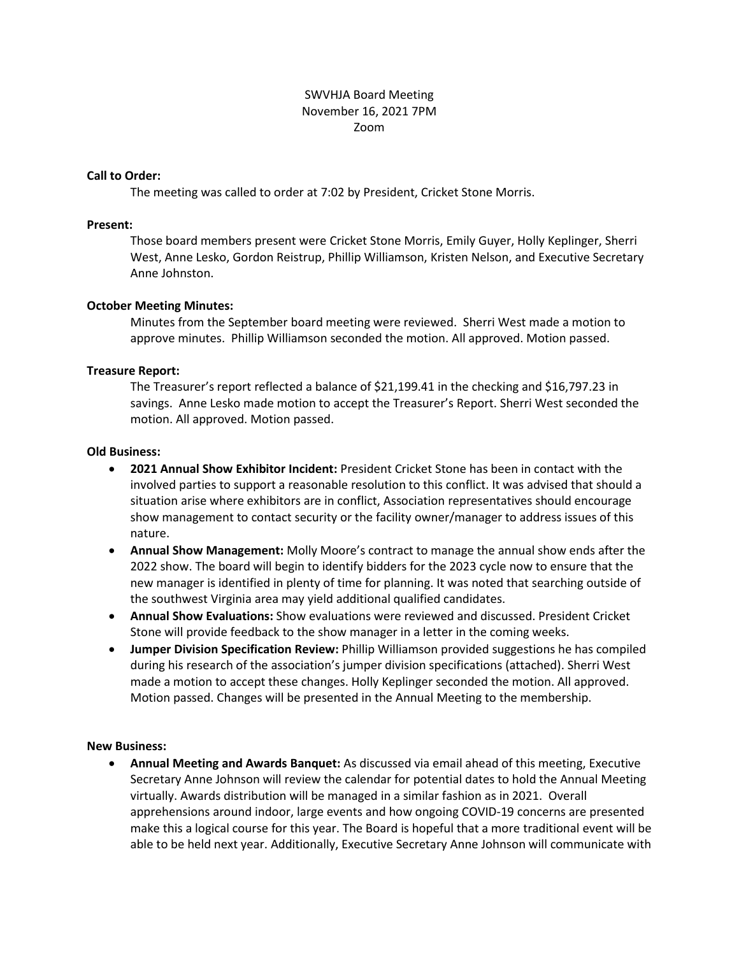# SWVHJA Board Meeting November 16, 2021 7PM Zoom

#### **Call to Order:**

The meeting was called to order at 7:02 by President, Cricket Stone Morris.

#### **Present:**

Those board members present were Cricket Stone Morris, Emily Guyer, Holly Keplinger, Sherri West, Anne Lesko, Gordon Reistrup, Phillip Williamson, Kristen Nelson, and Executive Secretary Anne Johnston.

## **October Meeting Minutes:**

Minutes from the September board meeting were reviewed. Sherri West made a motion to approve minutes. Phillip Williamson seconded the motion. All approved. Motion passed.

## **Treasure Report:**

The Treasurer's report reflected a balance of \$21,199.41 in the checking and \$16,797.23 in savings. Anne Lesko made motion to accept the Treasurer's Report. Sherri West seconded the motion. All approved. Motion passed.

## **Old Business:**

- **2021 Annual Show Exhibitor Incident:** President Cricket Stone has been in contact with the involved parties to support a reasonable resolution to this conflict. It was advised that should a situation arise where exhibitors are in conflict, Association representatives should encourage show management to contact security or the facility owner/manager to address issues of this nature.
- **Annual Show Management:** Molly Moore's contract to manage the annual show ends after the 2022 show. The board will begin to identify bidders for the 2023 cycle now to ensure that the new manager is identified in plenty of time for planning. It was noted that searching outside of the southwest Virginia area may yield additional qualified candidates.
- **Annual Show Evaluations:** Show evaluations were reviewed and discussed. President Cricket Stone will provide feedback to the show manager in a letter in the coming weeks.
- **Jumper Division Specification Review:** Phillip Williamson provided suggestions he has compiled during his research of the association's jumper division specifications (attached). Sherri West made a motion to accept these changes. Holly Keplinger seconded the motion. All approved. Motion passed. Changes will be presented in the Annual Meeting to the membership.

#### **New Business:**

 **Annual Meeting and Awards Banquet:** As discussed via email ahead of this meeting, Executive Secretary Anne Johnson will review the calendar for potential dates to hold the Annual Meeting virtually. Awards distribution will be managed in a similar fashion as in 2021. Overall apprehensions around indoor, large events and how ongoing COVID-19 concerns are presented make this a logical course for this year. The Board is hopeful that a more traditional event will be able to be held next year. Additionally, Executive Secretary Anne Johnson will communicate with